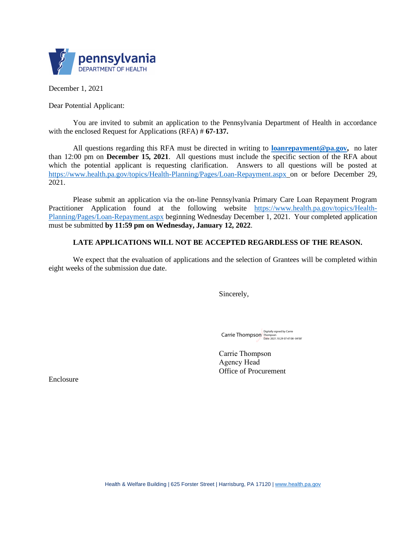

December 1, 2021

Dear Potential Applicant:

You are invited to submit an application to the Pennsylvania Department of Health in accordance with the enclosed Request for Applications (RFA) # **67-137.**

All questions regarding this RFA must be directed in writing to **loanrepayment@pa.gov,** no later than 12:00 pm on **December 15, 2021**. All questions must include the specific section of the RFA about which the potential applicant is requesting clarification. Answers to all questions will be posted at https://www.health.pa.gov/topics/Health-Planning/Pages/Loan-Repayment.aspx on or before December 29, 2021.

Please submit an application via the on-line Pennsylvania Primary Care Loan Repayment Program Practitioner Application found at the following website https://www.health.pa.gov/topics/Health-Planning/Pages/Loan-Repayment.aspx beginning Wednesday December 1, 2021. Your completed application must be submitted **by 11:59 pm on Wednesday, January 12, 2022**.

#### **LATE APPLICATIONS WILL NOT BE ACCEPTED REGARDLESS OF THE REASON.**

We expect that the evaluation of applications and the selection of Grantees will be completed within eight weeks of the submission due date.

Sincerely,

Carrie Thompson<br>Date: 2021.10.29 07:47:08 -04'00'

Carrie Thompson Agency Head Office of Procurement

Enclosure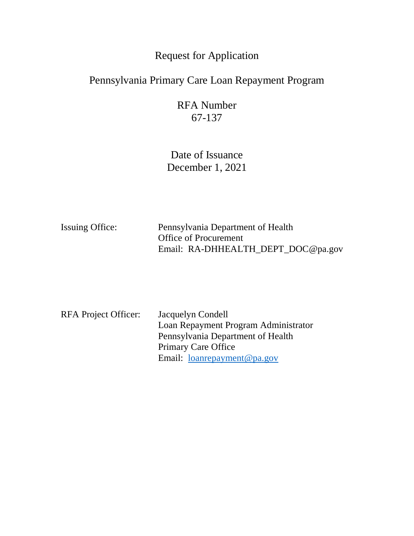# Request for Application

# Pennsylvania Primary Care Loan Repayment Program

RFA Number 67-137

Date of Issuance December 1, 2021

| <b>Issuing Office:</b> | Pennsylvania Department of Health  |  |
|------------------------|------------------------------------|--|
|                        | <b>Office of Procurement</b>       |  |
|                        | Email: RA-DHHEALTH_DEPT_DOC@pa.gov |  |

| RFA Project Officer: | Jacquelyn Condell                    |
|----------------------|--------------------------------------|
|                      | Loan Repayment Program Administrator |
|                      | Pennsylvania Department of Health    |
|                      | <b>Primary Care Office</b>           |
|                      | Email: <u>loanrepayment@pa.gov</u>   |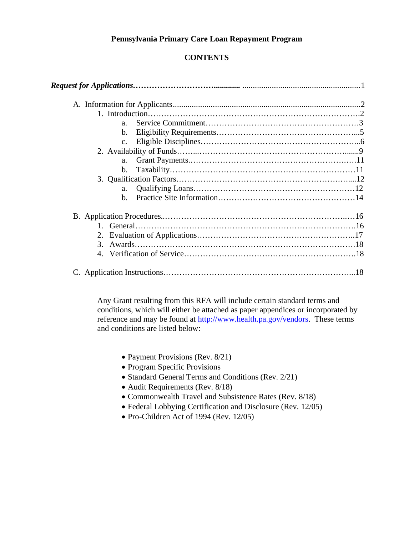## **Pennsylvania Primary Care Loan Repayment Program**

# **CONTENTS**

| a <sub>1</sub> |  |
|----------------|--|
| $\mathbf{b}$ . |  |
| C <sub>1</sub> |  |
|                |  |
| a.             |  |
| $\mathbf{b}$ . |  |
|                |  |
| a.             |  |
| $\mathbf{b}$ . |  |
|                |  |
|                |  |
| 2.             |  |
|                |  |
|                |  |

Any Grant resulting from this RFA will include certain standard terms and conditions, which will either be attached as paper appendices or incorporated by reference and may be found at http://www.health.pa.gov/vendors. These terms and conditions are listed below:

- Payment Provisions (Rev. 8/21)
- � Program Specific Provisions
- � Standard General Terms and Conditions (Rev. 2/21)
- � Audit Requirements (Rev. 8/18)
- � Commonwealth Travel and Subsistence Rates (Rev. 8/18)
- � Federal Lobbying Certification and Disclosure (Rev. 12/05)
- � Pro-Children Act of 1994 (Rev. 12/05)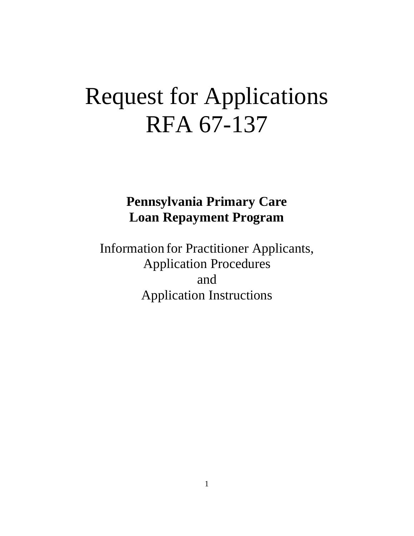# Request for Applications RFA 67-137

# **Pennsylvania Primary Care Loan Repayment Program**

Information for Practitioner Applicants, Application Procedures and Application Instructions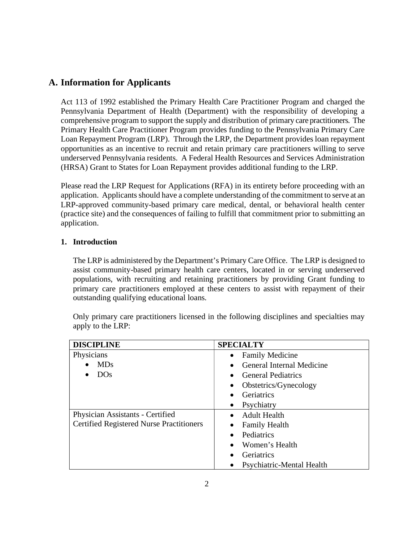# **A. Information for Applicants**

Act 113 of 1992 established the Primary Health Care Practitioner Program and charged the Pennsylvania Department of Health (Department) with the responsibility of developing a comprehensive program to support the supply and distribution of primary care practitioners. The Primary Health Care Practitioner Program provides funding to the Pennsylvania Primary Care Loan Repayment Program (LRP). Through the LRP, the Department provides loan repayment opportunities as an incentive to recruit and retain primary care practitioners willing to serve underserved Pennsylvania residents. A Federal Health Resources and Services Administration (HRSA) Grant to States for Loan Repayment provides additional funding to the LRP.

Please read the LRP Request for Applications (RFA) in its entirety before proceeding with an application. Applicants should have a complete understanding of the commitment to serve at an LRP-approved community-based primary care medical, dental, or behavioral health center (practice site) and the consequences of failing to fulfill that commitment prior to submitting an application.

# **1. Introduction**

The LRP is administered by the Department's Primary Care Office. The LRP is designed to assist community-based primary health care centers, located in or serving underserved populations, with recruiting and retaining practitioners by providing Grant funding to primary care practitioners employed at these centers to assist with repayment of their outstanding qualifying educational loans.

| <b>DISCIPLINE</b>                               | <b>SPECIALTY</b>          |
|-------------------------------------------------|---------------------------|
| Physicians                                      | <b>Family Medicine</b>    |
| <b>MDs</b>                                      | General Internal Medicine |
| <b>DOs</b>                                      | <b>General Pediatrics</b> |
|                                                 | Obstetrics/Gynecology     |
|                                                 | Geriatrics                |
|                                                 | Psychiatry                |
| Physician Assistants - Certified                | Adult Health              |
| <b>Certified Registered Nurse Practitioners</b> | <b>Family Health</b>      |
|                                                 | Pediatrics                |
|                                                 | Women's Health            |
|                                                 | Geriatrics                |
|                                                 | Psychiatric-Mental Health |

Only primary care practitioners licensed in the following disciplines and specialties may apply to the LRP: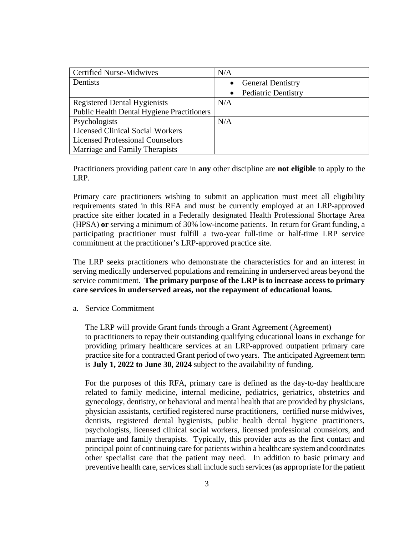| <b>Certified Nurse-Midwives</b>                   | N/A                                     |
|---------------------------------------------------|-----------------------------------------|
| Dentists                                          | <b>General Dentistry</b>                |
|                                                   | <b>Pediatric Dentistry</b><br>$\bullet$ |
| <b>Registered Dental Hygienists</b>               | N/A                                     |
| <b>Public Health Dental Hygiene Practitioners</b> |                                         |
| Psychologists                                     | N/A                                     |
| <b>Licensed Clinical Social Workers</b>           |                                         |
| <b>Licensed Professional Counselors</b>           |                                         |
| Marriage and Family Therapists                    |                                         |

Practitioners providing patient care in **any** other discipline are **not eligible** to apply to the LRP.

Primary care practitioners wishing to submit an application must meet all eligibility requirements stated in this RFA and must be currently employed at an LRP-approved practice site either located in a Federally designated Health Professional Shortage Area (HPSA) **or** serving a minimum of 30% low-income patients. In return for Grant funding, a participating practitioner must fulfill a two-year full-time or half-time LRP service commitment at the practitioner's LRP-approved practice site.

The LRP seeks practitioners who demonstrate the characteristics for and an interest in serving medically underserved populations and remaining in underserved areas beyond the service commitment. **The primary purpose of the LRP is to increase access to primary care services in underserved areas, not the repayment of educational loans.** 

a. Service Commitment

The LRP will provide Grant funds through a Grant Agreement (Agreement) to practitioners to repay their outstanding qualifying educational loans in exchange for providing primary healthcare services at an LRP-approved outpatient primary care practice site for a contracted Grant period of two years. The anticipated Agreement term is **July 1, 2022 to June 30, 2024** subject to the availability of funding.

For the purposes of this RFA, primary care is defined as the day-to-day healthcare related to family medicine, internal medicine, pediatrics, geriatrics, obstetrics and gynecology, dentistry, or behavioral and mental health that are provided by physicians, physician assistants, certified registered nurse practitioners, certified nurse midwives, dentists, registered dental hygienists, public health dental hygiene practitioners, psychologists, licensed clinical social workers, licensed professional counselors, and marriage and family therapists. Typically, this provider acts as the first contact and principal point of continuing care for patients within a healthcare system and coordinates other specialist care that the patient may need. In addition to basic primary and preventive health care, services shall include such services (as appropriate for the patient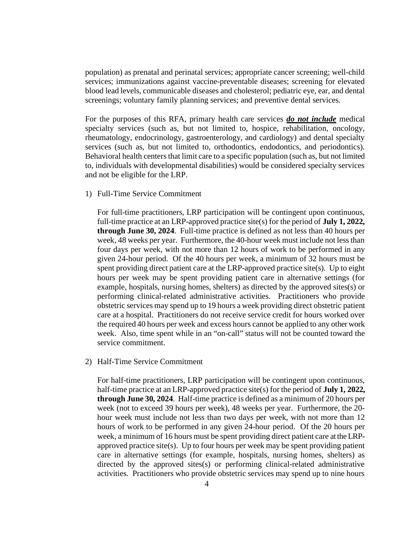population) as prenatal and perinatal services; appropriate cancer screening; well-child services; immunizations against vaccine-preventable diseases; screening for elevated blood lead levels, communicable diseases and cholesterol; pediatric eye, ear, and dental screenings; voluntary family planning services; and preventive dental services.

For the purposes of this RFA, primary health care services *do not include* medical specialty services (such as, but not limited to, hospice, rehabilitation, oncology, rheumatology, endocrinology, gastroenterology, and cardiology) and dental specialty services (such as, but not limited to, orthodontics, endodontics, and periodontics). Behavioral health centers that limit care to a specific population (such as, but not limited to, individuals with developmental disabilities) would be considered specialty services and not be eligible for the LRP.

1) Full-Time Service Commitment

For full-time practitioners, LRP participation will be contingent upon continuous, full-time practice at an LRP-approved practice site(s) for the period of **July 1, 2022, through June 30, 2024**. Full-time practice is defined as not less than 40 hours per week, 48 weeks per year. Furthermore, the 40-hour week must include not less than four days per week, with not more than 12 hours of work to be performed in any given 24-hour period. Of the 40 hours per week, a minimum of 32 hours must be spent providing direct patient care at the LRP-approved practice site(s). Up to eight hours per week may be spent providing patient care in alternative settings (for example, hospitals, nursing homes, shelters) as directed by the approved sites(s) or performing clinical-related administrative activities. Practitioners who provide obstetric services may spend up to 19 hours a week providing direct obstetric patient care at a hospital. Practitioners do not receive service credit for hours worked over the required 40 hours per week and excess hours cannot be applied to any other work week. Also, time spent while in an "on-call" status will not be counted toward the service commitment.

2) Half-Time Service Commitment

For half-time practitioners, LRP participation will be contingent upon continuous, half-time practice at an LRP-approved practice site(s) for the period of **July 1, 2022, through June 30, 2024**. Half-time practice is defined as a minimum of 20 hours per week (not to exceed 39 hours per week), 48 weeks per year. Furthermore, the 20 hour week must include not less than two days per week, with not more than 12 hours of work to be performed in any given 24-hour period. Of the 20 hours per week, a minimum of 16 hours must be spent providing direct patient care at the LRPapproved practice site(s). Up to four hours per week may be spent providing patient care in alternative settings (for example, hospitals, nursing homes, shelters) as directed by the approved sites(s) or performing clinical-related administrative activities. Practitioners who provide obstetric services may spend up to nine hours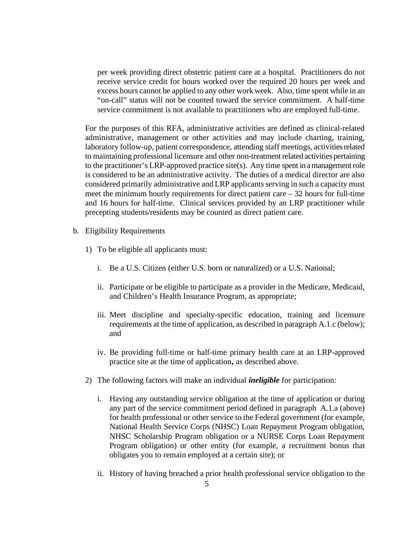per week providing direct obstetric patient care at a hospital. Practitioners do not receive service credit for hours worked over the required 20 hours per week and excess hours cannot be applied to any other work week. Also, time spent while in an "on-call" status will not be counted toward the service commitment. A half-time service commitment is not available to practitioners who are employed full-time.

For the purposes of this RFA, administrative activities are defined as clinical-related administrative, management or other activities and may include charting, training, laboratory follow-up, patient correspondence, attending staff meetings, activities related to maintaining professional licensure and other non-treatment related activities pertaining to the practitioner's LRP-approved practice site(s). Any time spent in a management role is considered to be an administrative activity. The duties of a medical director are also considered primarily administrative and LRP applicants serving in such a capacity must meet the minimum hourly requirements for direct patient care  $-32$  hours for full-time and 16 hours for half-time. Clinical services provided by an LRP practitioner while precepting students/residents may be counted as direct patient care.

- b. Eligibility Requirements
	- 1) To be eligible all applicants must:
		- i. Be a U.S. Citizen (either U.S. born or naturalized) or a U.S. National;
		- ii. Participate or be eligible to participate as a provider in the Medicare, Medicaid, and Children's Health Insurance Program, as appropriate;
		- iii. Meet discipline and specialty-specific education, training and licensure requirements at the time of application, as described in paragraph A.1.c (below); and
		- iv. Be providing full-time or half-time primary health care at an LRP-approved practice site at the time of application**,** as described above.
	- 2) The following factors will make an individual *ineligible* for participation:
		- i. Having any outstanding service obligation at the time of application or during any part of the service commitment period defined in paragraph A.1.a (above) for health professional or other service to the Federal government (for example, National Health Service Corps (NHSC) Loan Repayment Program obligation, NHSC Scholarship Program obligation or a NURSE Corps Loan Repayment Program obligation) or other entity (for example, a recruitment bonus that obligates you to remain employed at a certain site); or
		- ii. History of having breached a prior health professional service obligation to the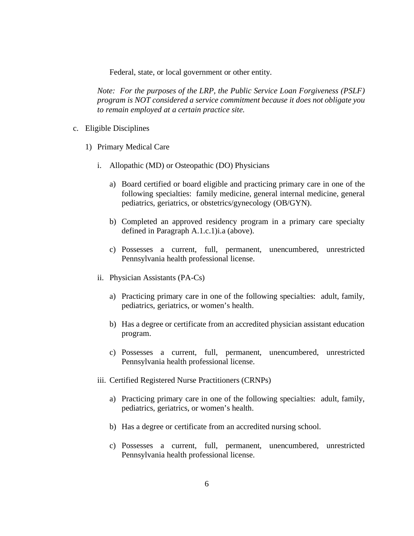Federal, state, or local government or other entity.

*Note: For the purposes of the LRP, the Public Service Loan Forgiveness (PSLF) program is NOT considered a service commitment because it does not obligate you to remain employed at a certain practice site.* 

- c. Eligible Disciplines
	- 1) Primary Medical Care
		- i. Allopathic (MD) or Osteopathic (DO) Physicians
			- a) Board certified or board eligible and practicing primary care in one of the following specialties: family medicine, general internal medicine, general pediatrics, geriatrics, or obstetrics/gynecology (OB/GYN).
			- b) Completed an approved residency program in a primary care specialty defined in Paragraph A.1.c.1)i.a (above).
			- c) Possesses a current, full, permanent, unencumbered, unrestricted Pennsylvania health professional license.
		- ii. Physician Assistants (PA-Cs)
			- a) Practicing primary care in one of the following specialties: adult, family, pediatrics, geriatrics, or women's health.
			- b) Has a degree or certificate from an accredited physician assistant education program.
			- c) Possesses a current, full, permanent, unencumbered, unrestricted Pennsylvania health professional license.
		- iii. Certified Registered Nurse Practitioners (CRNPs)
			- a) Practicing primary care in one of the following specialties: adult, family, pediatrics, geriatrics, or women's health.
			- b) Has a degree or certificate from an accredited nursing school.
			- c) Possesses a current, full, permanent, unencumbered, unrestricted Pennsylvania health professional license.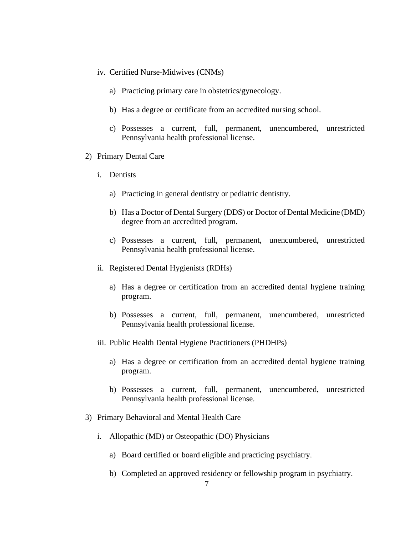- iv. Certified Nurse-Midwives (CNMs)
	- a) Practicing primary care in obstetrics/gynecology.
	- b) Has a degree or certificate from an accredited nursing school.
	- c) Possesses a current, full, permanent, unencumbered, unrestricted Pennsylvania health professional license.
- 2) Primary Dental Care
	- i. Dentists
		- a) Practicing in general dentistry or pediatric dentistry.
		- b) Has a Doctor of Dental Surgery (DDS) or Doctor of Dental Medicine (DMD) degree from an accredited program.
		- c) Possesses a current, full, permanent, unencumbered, unrestricted Pennsylvania health professional license.
	- ii. Registered Dental Hygienists (RDHs)
		- a) Has a degree or certification from an accredited dental hygiene training program.
		- b) Possesses a current, full, permanent, unencumbered, unrestricted Pennsylvania health professional license.
	- iii. Public Health Dental Hygiene Practitioners (PHDHPs)
		- a) Has a degree or certification from an accredited dental hygiene training program.
		- b) Possesses a current, full, permanent, unencumbered, unrestricted Pennsylvania health professional license.
- 3) Primary Behavioral and Mental Health Care
	- i. Allopathic (MD) or Osteopathic (DO) Physicians
		- a) Board certified or board eligible and practicing psychiatry.
		- b) Completed an approved residency or fellowship program in psychiatry.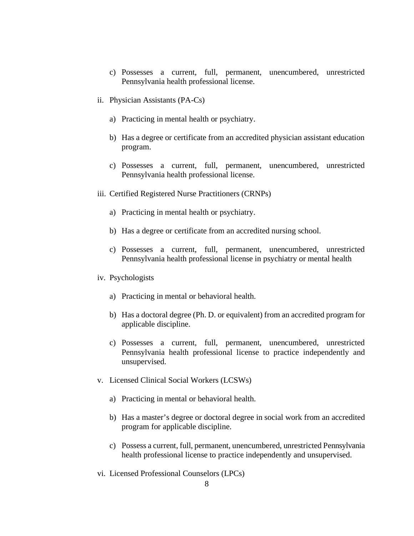- c) Possesses a current, full, permanent, unencumbered, unrestricted Pennsylvania health professional license.
- ii. Physician Assistants (PA-Cs)
	- a) Practicing in mental health or psychiatry.
	- b) Has a degree or certificate from an accredited physician assistant education program.
	- c) Possesses a current, full, permanent, unencumbered, unrestricted Pennsylvania health professional license.
- iii. Certified Registered Nurse Practitioners (CRNPs)
	- a) Practicing in mental health or psychiatry.
	- b) Has a degree or certificate from an accredited nursing school.
	- c) Possesses a current, full, permanent, unencumbered, unrestricted Pennsylvania health professional license in psychiatry or mental health
- iv. Psychologists
	- a) Practicing in mental or behavioral health.
	- b) Has a doctoral degree (Ph. D. or equivalent) from an accredited program for applicable discipline.
	- c) Possesses a current, full, permanent, unencumbered, unrestricted Pennsylvania health professional license to practice independently and unsupervised.
- v. Licensed Clinical Social Workers (LCSWs)
	- a) Practicing in mental or behavioral health.
	- b) Has a master's degree or doctoral degree in social work from an accredited program for applicable discipline.
	- c) Possess a current, full, permanent, unencumbered, unrestricted Pennsylvania health professional license to practice independently and unsupervised.
- vi. Licensed Professional Counselors (LPCs)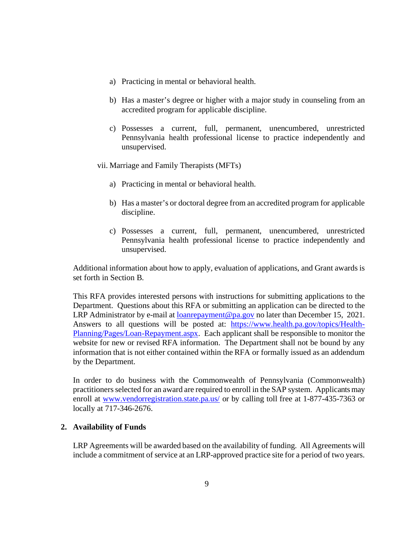- a) Practicing in mental or behavioral health.
- b) Has a master's degree or higher with a major study in counseling from an accredited program for applicable discipline.
- c) Possesses a current, full, permanent, unencumbered, unrestricted Pennsylvania health professional license to practice independently and unsupervised.

vii. Marriage and Family Therapists (MFTs)

- a) Practicing in mental or behavioral health.
- b) Has a master's or doctoral degree from an accredited program for applicable discipline.
- c) Possesses a current, full, permanent, unencumbered, unrestricted Pennsylvania health professional license to practice independently and unsupervised.

Additional information about how to apply, evaluation of applications, and Grant awards is set forth in Section B.

This RFA provides interested persons with instructions for submitting applications to the Department. Questions about this RFA or submitting an application can be directed to the LRP Administrator by e-mail at loanrepayment@pa.gov no later than December 15, 2021. Answers to all questions will be posted at: https://www.health.pa.gov/topics/Health-Planning/Pages/Loan-Repayment.aspx. Each applicant shall be responsible to monitor the website for new or revised RFA information. The Department shall not be bound by any information that is not either contained within the RFA or formally issued as an addendum by the Department.

In order to do business with the Commonwealth of Pennsylvania (Commonwealth) practitioners selected for an award are required to enroll in the SAP system. Applicants may enroll at www.vendorregistration.state.pa.us/ or by calling toll free at 1-877-435-7363 or locally at 717-346-2676.

## **2. Availability of Funds**

LRP Agreements will be awarded based on the availability of funding. All Agreements will include a commitment of service at an LRP-approved practice site for a period of two years.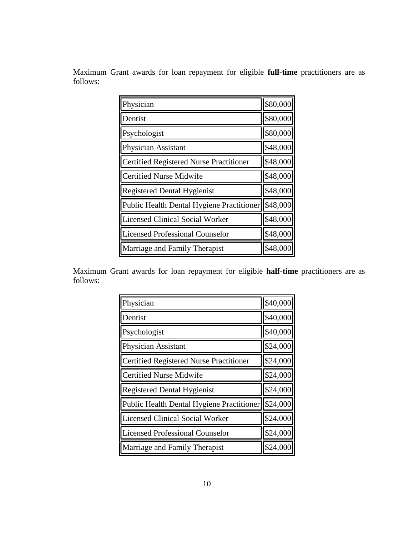Maximum Grant awards for loan repayment for eligible **full-time** practitioners are as follows:

| Physician                                      | \$80,000 |
|------------------------------------------------|----------|
| Dentist                                        | \$80,000 |
| Psychologist                                   | \$80,000 |
| Physician Assistant                            | \$48,000 |
| <b>Certified Registered Nurse Practitioner</b> | \$48,000 |
| <b>Certified Nurse Midwife</b>                 | \$48,000 |
| <b>Registered Dental Hygienist</b>             | \$48,000 |
| Public Health Dental Hygiene Practitioner      | \$48,000 |
| <b>Licensed Clinical Social Worker</b>         | \$48,000 |
| <b>Licensed Professional Counselor</b>         | \$48,000 |
| Marriage and Family Therapist                  | \$48,000 |

Maximum Grant awards for loan repayment for eligible **half-time** practitioners are as follows:

| Physician                                      | \$40,000 |
|------------------------------------------------|----------|
| Dentist                                        | \$40,000 |
| Psychologist                                   | \$40,000 |
| <b>Physician Assistant</b>                     | \$24,000 |
| <b>Certified Registered Nurse Practitioner</b> | \$24,000 |
| <b>Certified Nurse Midwife</b>                 | \$24,000 |
| <b>Registered Dental Hygienist</b>             | \$24,000 |
| Public Health Dental Hygiene Practitioner      | \$24,000 |
| <b>Licensed Clinical Social Worker</b>         | \$24,000 |
| <b>Licensed Professional Counselor</b>         | \$24,000 |
| Marriage and Family Therapist                  | \$24,000 |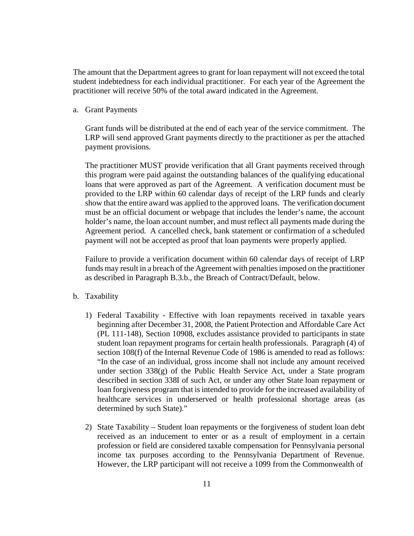The amount that the Department agrees to grant for loan repayment will not exceed the total student indebtedness for each individual practitioner. For each year of the Agreement the practitioner will receive 50% of the total award indicated in the Agreement.

a. Grant Payments

Grant funds will be distributed at the end of each year of the service commitment. The LRP will send approved Grant payments directly to the practitioner as per the attached payment provisions.

The practitioner MUST provide verification that all Grant payments received through this program were paid against the outstanding balances of the qualifying educational loans that were approved as part of the Agreement. A verification document must be provided to the LRP within 60 calendar days of receipt of the LRP funds and clearly show that the entire award was applied to the approved loans. The verification document must be an official document or webpage that includes the lender's name, the account holder's name, the loan account number, and must reflect all payments made during the Agreement period. A cancelled check, bank statement or confirmation of a scheduled payment will not be accepted as proof that loan payments were properly applied.

Failure to provide a verification document within 60 calendar days of receipt of LRP funds may result in a breach of the Agreement with penalties imposed on the practitioner as described in Paragraph B.3.b., the Breach of Contract/Default, below.

- b. Taxability
	- 1) Federal Taxability Effective with loan repayments received in taxable years beginning after December 31, 2008, the Patient Protection and Affordable Care Act (PL 111-148), Section 10908, excludes assistance provided to participants in state student loan repayment programs for certain health professionals. Paragraph (4) of section 108(f) of the Internal Revenue Code of 1986 is amended to read as follows: "In the case of an individual, gross income shall not include any amount received under section 338(g) of the Public Health Service Act, under a State program described in section 338I of such Act, or under any other State loan repayment or loan forgiveness program that is intended to provide for the increased availability of healthcare services in underserved or health professional shortage areas (as determined by such State)."
	- 2) State Taxability Student loan repayments or the forgiveness of student loan debt received as an inducement to enter or as a result of employment in a certain profession or field are considered taxable compensation for Pennsylvania personal income tax purposes according to the Pennsylvania Department of Revenue. However, the LRP participant will not receive a 1099 from the Commonwealth of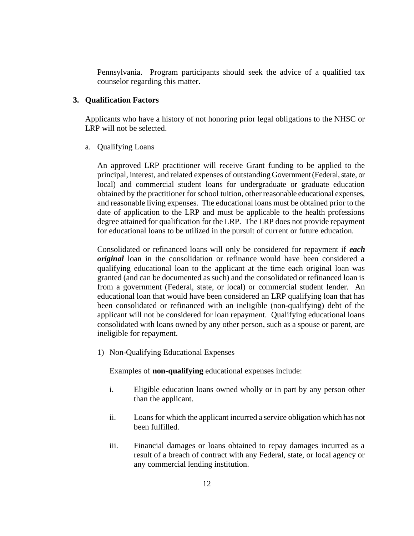Pennsylvania. Program participants should seek the advice of a qualified tax counselor regarding this matter.

#### **3. Qualification Factors**

Applicants who have a history of not honoring prior legal obligations to the NHSC or LRP will not be selected.

#### a. Qualifying Loans

An approved LRP practitioner will receive Grant funding to be applied to the principal, interest, and related expenses of outstanding Government (Federal, state, or local) and commercial student loans for undergraduate or graduate education obtained by the practitioner for school tuition, other reasonable educational expenses, and reasonable living expenses. The educational loans must be obtained prior to the date of application to the LRP and must be applicable to the health professions degree attained for qualification for the LRP. The LRP does not provide repayment for educational loans to be utilized in the pursuit of current or future education.

Consolidated or refinanced loans will only be considered for repayment if *each original* loan in the consolidation or refinance would have been considered a qualifying educational loan to the applicant at the time each original loan was granted (and can be documented as such) and the consolidated or refinanced loan is from a government (Federal, state, or local) or commercial student lender. An educational loan that would have been considered an LRP qualifying loan that has been consolidated or refinanced with an ineligible (non-qualifying) debt of the applicant will not be considered for loan repayment. Qualifying educational loans consolidated with loans owned by any other person, such as a spouse or parent, are ineligible for repayment.

1) Non-Qualifying Educational Expenses

Examples of **non-qualifying** educational expenses include:

- i. Eligible education loans owned wholly or in part by any person other than the applicant.
- ii. Loans for which the applicant incurred a service obligation which has not been fulfilled.
- iii. Financial damages or loans obtained to repay damages incurred as a result of a breach of contract with any Federal, state, or local agency or any commercial lending institution.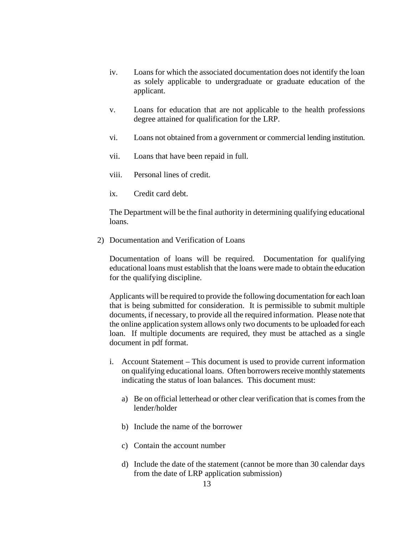- iv. Loans for which the associated documentation does not identify the loan as solely applicable to undergraduate or graduate education of the applicant.
- v. Loans for education that are not applicable to the health professions degree attained for qualification for the LRP.
- vi. Loans not obtained from a government or commercial lending institution.
- vii. Loans that have been repaid in full.
- viii. Personal lines of credit.
- ix. Credit card debt.

 The Department will be the final authority in determining qualifying educational loans.

2) Documentation and Verification of Loans

Documentation of loans will be required. Documentation for qualifying educational loans must establish that the loans were made to obtain the education for the qualifying discipline.

Applicants will be required to provide the following documentation for each loan that is being submitted for consideration. It is permissible to submit multiple documents, if necessary, to provide all the required information. Please note that the online application system allows only two documents to be uploaded for each loan. If multiple documents are required, they must be attached as a single document in pdf format.

- i. Account Statement *–* This document is used to provide current information on qualifying educational loans. Often borrowers receive monthly statements indicating the status of loan balances. This document must:
	- a) Be on official letterhead or other clear verification that is comes from the lender/holder
	- b) Include the name of the borrower
	- c) Contain the account number
	- d) Include the date of the statement (cannot be more than 30 calendar days from the date of LRP application submission)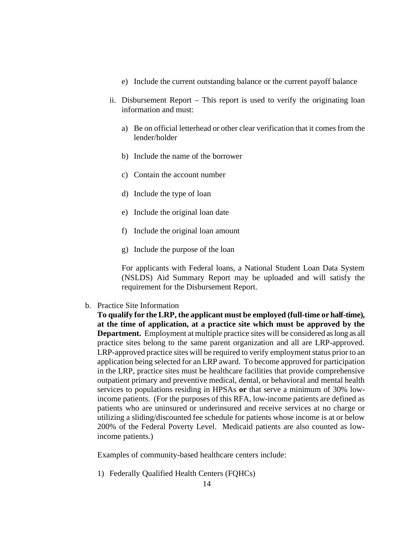- e) Include the current outstanding balance or the current payoff balance
- ii. Disbursement ReportThis report is used to verify the originating loan information and must:
	- a) Be on official letterhead or other clear verification that it comes from the lender/holder
	- b) Include the name of the borrower
	- c) Contain the account number
	- d) Include the type of loan
	- e) Include the original loan date
	- f) Include the original loan amount
	- g) Include the purpose of the loan

For applicants with Federal loans, a National Student Loan Data System (NSLDS) Aid Summary Report may be uploaded and will satisfy the requirement for the Disbursement Report.

b. Practice Site Information

**To qualify for the LRP, the applicant must be employed (full-time or half-time), at the time of application, at a practice site which must be approved by the Department.** Employment at multiple practice sites will be considered as long as all practice sites belong to the same parent organization and all are LRP-approved. LRP-approved practice sites will be required to verify employment status prior to an application being selected for an LRP award. To become approved for participation in the LRP, practice sites must be healthcare facilities that provide comprehensive outpatient primary and preventive medical, dental, or behavioral and mental health services to populations residing in HPSAs **or** that serve a minimum of 30% lowincome patients. (For the purposes of this RFA, low-income patients are defined as patients who are uninsured or underinsured and receive services at no charge or utilizing a sliding/discounted fee schedule for patients whose income is at or below 200% of the Federal Poverty Level. Medicaid patients are also counted as lowincome patients.)

Examples of community-based healthcare centers include:

1) Federally Qualified Health Centers (FQHCs)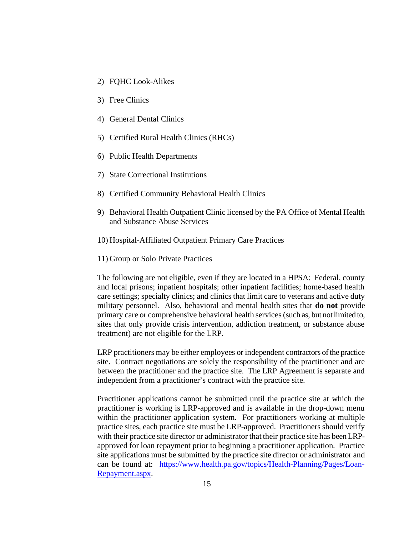- 2) FQHC Look-Alikes
- 3) Free Clinics
- 4) General Dental Clinics
- 5) Certified Rural Health Clinics (RHCs)
- 6) Public Health Departments
- 7) State Correctional Institutions
- 8) Certified Community Behavioral Health Clinics
- 9) Behavioral Health Outpatient Clinic licensed by the PA Office of Mental Health and Substance Abuse Services
- 10) Hospital-Affiliated Outpatient Primary Care Practices
- 11) Group or Solo Private Practices

The following are not eligible, even if they are located in a HPSA: Federal, county and local prisons; inpatient hospitals; other inpatient facilities; home-based health care settings; specialty clinics; and clinics that limit care to veterans and active duty military personnel. Also, behavioral and mental health sites that **do not** provide primary care or comprehensive behavioral health services (such as, but not limited to, sites that only provide crisis intervention, addiction treatment, or substance abuse treatment) are not eligible for the LRP.

LRP practitioners may be either employees or independent contractors of the practice site. Contract negotiations are solely the responsibility of the practitioner and are between the practitioner and the practice site. The LRP Agreement is separate and independent from a practitioner's contract with the practice site.

Practitioner applications cannot be submitted until the practice site at which the practitioner is working is LRP-approved and is available in the drop-down menu within the practitioner application system. For practitioners working at multiple practice sites, each practice site must be LRP-approved. Practitioners should verify with their practice site director or administrator that their practice site has been LRPapproved for loan repayment prior to beginning a practitioner application. Practice site applications must be submitted by the practice site director or administrator and can be found at: https://www.health.pa.gov/topics/Health-Planning/Pages/Loan-Repayment.aspx.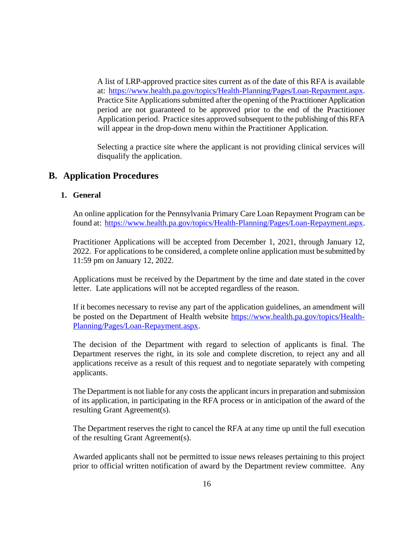A list of LRP-approved practice sites current as of the date of this RFA is available at: https://www.health.pa.gov/topics/Health-Planning/Pages/Loan-Repayment.aspx. Practice Site Applications submitted after the opening of the Practitioner Application period are not guaranteed to be approved prior to the end of the Practitioner Application period. Practice sites approved subsequent to the publishing of this RFA will appear in the drop-down menu within the Practitioner Application.

Selecting a practice site where the applicant is not providing clinical services will disqualify the application.

# **B. Application Procedures**

## **1. General**

An online application for the Pennsylvania Primary Care Loan Repayment Program can be found at: https://www.health.pa.gov/topics/Health-Planning/Pages/Loan-Repayment.aspx.

 Practitioner Applications will be accepted from December 1, 2021, through January 12, 2022. For applications to be considered, a complete online application must be submitted by 11:59 pm on January 12, 2022.

 Applications must be received by the Department by the time and date stated in the cover letter. Late applications will not be accepted regardless of the reason.

If it becomes necessary to revise any part of the application guidelines, an amendment will be posted on the Department of Health website https://www.health.pa.gov/topics/Health-Planning/Pages/Loan-Repayment.aspx.

 The decision of the Department with regard to selection of applicants is final. The Department reserves the right, in its sole and complete discretion, to reject any and all applications receive as a result of this request and to negotiate separately with competing applicants.

 The Department is not liable for any costs the applicant incurs in preparation and submission of its application, in participating in the RFA process or in anticipation of the award of the resulting Grant Agreement(s).

 The Department reserves the right to cancel the RFA at any time up until the full execution of the resulting Grant Agreement(s).

Awarded applicants shall not be permitted to issue news releases pertaining to this project prior to official written notification of award by the Department review committee. Any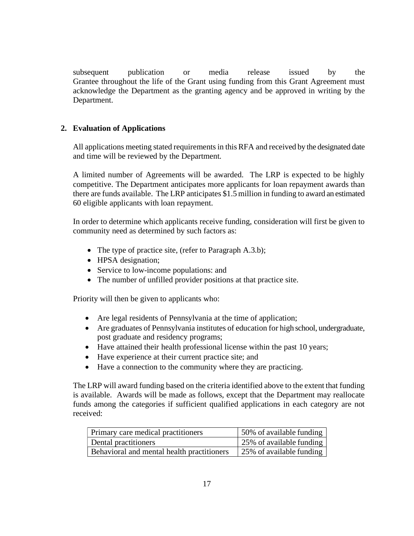subsequent publication or media release issued by the Grantee throughout the life of the Grant using funding from this Grant Agreement must acknowledge the Department as the granting agency and be approved in writing by the Department.

# **2. Evaluation of Applications**

All applications meeting stated requirements in this RFA and received by the designated date and time will be reviewed by the Department.

A limited number of Agreements will be awarded. The LRP is expected to be highly competitive. The Department anticipates more applicants for loan repayment awards than there are funds available. The LRP anticipates \$1.5 million in funding to award an estimated 60 eligible applicants with loan repayment.

In order to determine which applicants receive funding, consideration will first be given to community need as determined by such factors as:

- The type of practice site, (refer to Paragraph A.3.b);
- HPSA designation;
- Service to low-income populations: and
- The number of unfilled provider positions at that practice site.

Priority will then be given to applicants who:

- Are legal residents of Pennsylvania at the time of application;
- � Are graduates of Pennsylvania institutes of education for high school, undergraduate, post graduate and residency programs;
- � Have attained their health professional license within the past 10 years;
- � Have experience at their current practice site; and
- � Have a connection to the community where they are practicing.

The LRP will award funding based on the criteria identified above to the extent that funding is available. Awards will be made as follows, except that the Department may reallocate funds among the categories if sufficient qualified applications in each category are not received:

| Primary care medical practitioners         | 50% of available funding              |
|--------------------------------------------|---------------------------------------|
| Dental practitioners                       | $\frac{1}{25\%}$ of available funding |
| Behavioral and mental health practitioners | 25% of available funding              |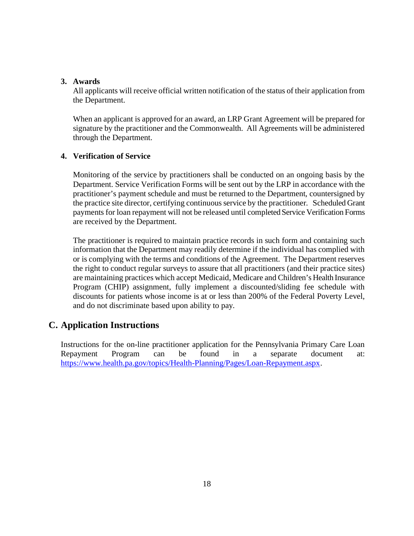#### **3. Awards**

All applicants will receive official written notification of the status of their application from the Department.

When an applicant is approved for an award, an LRP Grant Agreement will be prepared for signature by the practitioner and the Commonwealth. All Agreements will be administered through the Department.

## **4. Verification of Service**

Monitoring of the service by practitioners shall be conducted on an ongoing basis by the Department. Service Verification Forms will be sent out by the LRP in accordance with the practitioner's payment schedule and must be returned to the Department, countersigned by the practice site director, certifying continuous service by the practitioner. Scheduled Grant payments for loan repayment will not be released until completed Service Verification Forms are received by the Department.

The practitioner is required to maintain practice records in such form and containing such information that the Department may readily determine if the individual has complied with or is complying with the terms and conditions of the Agreement. The Department reserves the right to conduct regular surveys to assure that all practitioners (and their practice sites) are maintaining practices which accept Medicaid, Medicare and Children's Health Insurance Program (CHIP) assignment, fully implement a discounted/sliding fee schedule with discounts for patients whose income is at or less than 200% of the Federal Poverty Level, and do not discriminate based upon ability to pay.

# **C. Application Instructions**

Instructions for the on-line practitioner application for the Pennsylvania Primary Care Loan Repayment Program can be found in a separate document at: https://www.health.pa.gov/topics/Health-Planning/Pages/Loan-Repayment.aspx.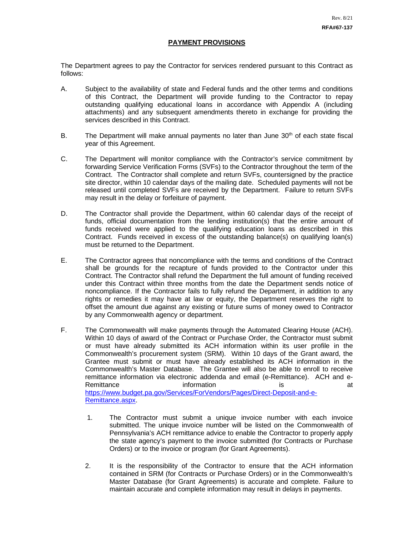#### **PAYMENT PROVISIONS**

The Department agrees to pay the Contractor for services rendered pursuant to this Contract as follows:

- A. Subject to the availability of state and Federal funds and the other terms and conditions of this Contract, the Department will provide funding to the Contractor to repay outstanding qualifying educational loans in accordance with Appendix A (including attachments) and any subsequent amendments thereto in exchange for providing the services described in this Contract.
- B. The Department will make annual payments no later than June  $30<sup>th</sup>$  of each state fiscal year of this Agreement.
- C. The Department will monitor compliance with the Contractor's service commitment by forwarding Service Verification Forms (SVFs) to the Contractor throughout the term of the Contract. The Contractor shall complete and return SVFs, countersigned by the practice site director, within 10 calendar days of the mailing date. Scheduled payments will not be released until completed SVFs are received by the Department. Failure to return SVFs may result in the delay or forfeiture of payment.
- D. The Contractor shall provide the Department, within 60 calendar days of the receipt of funds, official documentation from the lending institution(s) that the entire amount of funds received were applied to the qualifying education loans as described in this Contract. Funds received in excess of the outstanding balance(s) on qualifying loan(s) must be returned to the Department.
- E. The Contractor agrees that noncompliance with the terms and conditions of the Contract shall be grounds for the recapture of funds provided to the Contractor under this Contract. The Contractor shall refund the Department the full amount of funding received under this Contract within three months from the date the Department sends notice of noncompliance. If the Contractor fails to fully refund the Department, in addition to any rights or remedies it may have at law or equity, the Department reserves the right to offset the amount due against any existing or future sums of money owed to Contractor by any Commonwealth agency or department.
- F. The Commonwealth will make payments through the Automated Clearing House (ACH). Within 10 days of award of the Contract or Purchase Order, the Contractor must submit or must have already submitted its ACH information within its user profile in the Commonwealth's procurement system (SRM). Within 10 days of the Grant award, the Grantee must submit or must have already established its ACH information in the Commonwealth's Master Database. The Grantee will also be able to enroll to receive remittance information via electronic addenda and email (e-Remittance). ACH and e-Remittance information information is at https://www.budget.pa.gov/Services/ForVendors/Pages/Direct-Deposit-and-e-Remittance.aspx.
	- 1. The Contractor must submit a unique invoice number with each invoice submitted. The unique invoice number will be listed on the Commonwealth of Pennsylvania's ACH remittance advice to enable the Contractor to properly apply the state agency's payment to the invoice submitted (for Contracts or Purchase Orders) or to the invoice or program (for Grant Agreements).
	- 2. It is the responsibility of the Contractor to ensure that the ACH information contained in SRM (for Contracts or Purchase Orders) or in the Commonwealth's Master Database (for Grant Agreements) is accurate and complete. Failure to maintain accurate and complete information may result in delays in payments.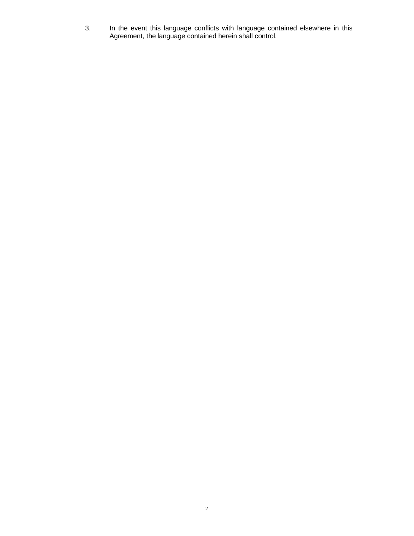3. In the event this language conflicts with language contained elsewhere in this Agreement, the language contained herein shall control.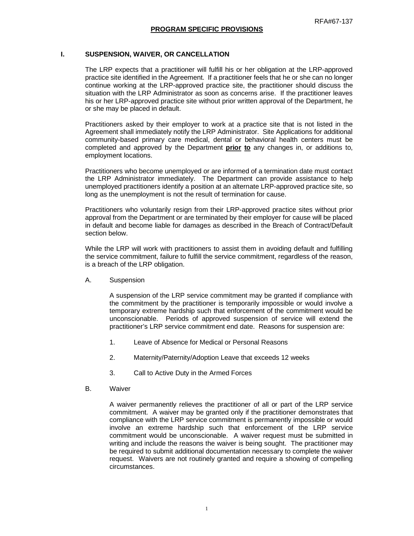#### **I. SUSPENSION, WAIVER, OR CANCELLATION**

The LRP expects that a practitioner will fulfill his or her obligation at the LRP-approved practice site identified in the Agreement. If a practitioner feels that he or she can no longer continue working at the LRP-approved practice site, the practitioner should discuss the situation with the LRP Administrator as soon as concerns arise. If the practitioner leaves his or her LRP-approved practice site without prior written approval of the Department, he or she may be placed in default.

Practitioners asked by their employer to work at a practice site that is not listed in the Agreement shall immediately notify the LRP Administrator. Site Applications for additional community-based primary care medical, dental or behavioral health centers must be completed and approved by the Department **prior to** any changes in, or additions to, employment locations.

Practitioners who become unemployed or are informed of a termination date must contact the LRP Administrator immediately. The Department can provide assistance to help unemployed practitioners identify a position at an alternate LRP-approved practice site, so long as the unemployment is not the result of termination for cause.

Practitioners who voluntarily resign from their LRP-approved practice sites without prior approval from the Department or are terminated by their employer for cause will be placed in default and become liable for damages as described in the Breach of Contract/Default section below.

While the LRP will work with practitioners to assist them in avoiding default and fulfilling the service commitment, failure to fulfill the service commitment, regardless of the reason, is a breach of the LRP obligation.

A. Suspension

A suspension of the LRP service commitment may be granted if compliance with the commitment by the practitioner is temporarily impossible or would involve a temporary extreme hardship such that enforcement of the commitment would be unconscionable. Periods of approved suspension of service will extend the practitioner's LRP service commitment end date. Reasons for suspension are:

- 1. Leave of Absence for Medical or Personal Reasons
- 2. Maternity/Paternity/Adoption Leave that exceeds 12 weeks
- 3. Call to Active Duty in the Armed Forces
- B. Waiver

A waiver permanently relieves the practitioner of all or part of the LRP service commitment. A waiver may be granted only if the practitioner demonstrates that compliance with the LRP service commitment is permanently impossible or would involve an extreme hardship such that enforcement of the LRP service commitment would be unconscionable. A waiver request must be submitted in writing and include the reasons the waiver is being sought. The practitioner may be required to submit additional documentation necessary to complete the waiver request. Waivers are not routinely granted and require a showing of compelling circumstances.